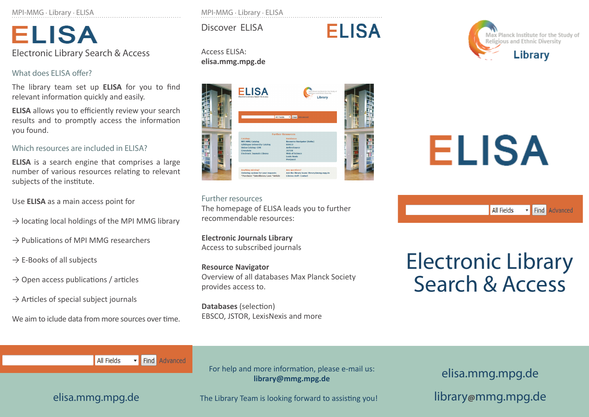MPI-MMG · Library · ELISA

**ELISA** Electronic Library Search & Access

#### What does ELISA offer?

The library team set up **ELISA** for you to find relevant information quickly and easily.

**ELISA** allows you to efficiently review your search results and to promptly access the information you found.

#### Which resources are included in ELISA?

**ELISA** is a search engine that comprises a large number of various resources relating to relevant subjects of the institute.

Use **ELISA** as a main access point for

- $\rightarrow$  locating local holdings of the MPI MMG library
- $\rightarrow$  Publications of MPI MMG researchers
- $\rightarrow$  E-Books of all subjects
- $\rightarrow$  Open access publications / articles
- $\rightarrow$  Articles of special subject journals

We aim to iclude data from more sources over time.

MPI-MMG · Library · ELISA

Discover ELISA

#### Access ELISA: **elisa.mmg.mpg.de**



**ELISA** 

Further resources The homepage of ELISA leads you to further recommendable resources:

**Electronic Journals Library** Access to subscribed journals

**Resource Navigator**  Overview of all databases Max Planck Society provides access to.

**Databases** (selection) EBSCO, JSTOR, LexisNexis and more



# **ELISA**

Find Advanced All Fields

## Electronic Library Search & Access

Find Advanced All Fields

For help and more information, please e-mail us: **library@mmg.mpg.de**

elisa.mmg.mpg.de

elisa.mmg.mpg.de The Library Team is looking forward to assisting you!

library**@**mmg.mpg.de